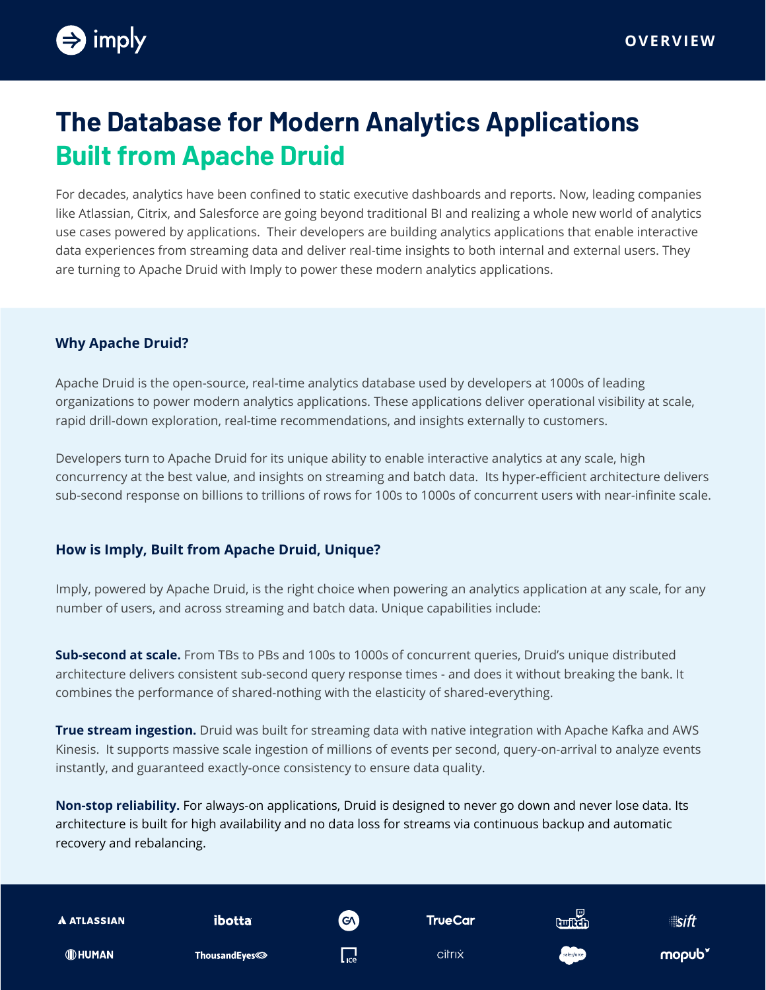

# **The Database for Modern Analytics Applications Built from Apache Druid**

For decades, analytics have been confined to static executive dashboards and reports. Now, leading companies like Atlassian, Citrix, and Salesforce are going beyond traditional BI and realizing a whole new world of analytics use cases powered by applications. Their developers are building analytics applications that enable interactive data experiences from streaming data and deliver real-time insights to both internal and external users. They are turning to Apache Druid with Imply to power these modern analytics applications.

## **Why Apache Druid?**

Apache Druid is the open-source, real-time analytics database used by developers at 1000s of leading organizations to power modern analytics applications. These applications deliver operational visibility at scale, rapid drill-down exploration, real-time recommendations, and insights externally to customers.

Developers turn to Apache Druid for its unique ability to enable interactive analytics at any scale, high concurrency at the best value, and insights on streaming and batch data. Its hyper-efficient architecture delivers sub-second response on billions to trillions of rows for 100s to 1000s of concurrent users with near-infinite scale.

## **How is Imply, Built from Apache Druid, Unique?**

Imply, powered by Apache Druid, is the right choice when powering an analytics application at any scale, for any number of users, and across streaming and batch data. Unique capabilities include:

**Sub-second at scale.** From TBs to PBs and 100s to 1000s of concurrent queries, Druid's unique distributed architecture delivers consistent sub-second query response times - and does it without breaking the bank. It combines the performance of shared-nothing with the elasticity of shared-everything.

**True stream ingestion.** Druid was built for streaming data with native integration with Apache Kafka and AWS Kinesis. It supports massive scale ingestion of millions of events per second, query-on-arrival to analyze events instantly, and guaranteed exactly-once consistency to ensure data quality.

**Non-stop reliability.** For always-on applications, Druid is designed to never go down and never lose data. Its architecture is built for high availability and no data loss for streams via continuous backup and automatic recovery and rebalancing.

| <b>A ATLASSIAN</b> | ibotta                          | $\left( 9\right)$         | <b>TrueCar</b> | ا ب<br>دکتاریت | $\mathsf{S}$ ift   |
|--------------------|---------------------------------|---------------------------|----------------|----------------|--------------------|
| <b>IDHUMAN</b>     | <b>ThousandEyes<sup>®</sup></b> | $\mathbf{I}_{\text{ice}}$ | citrix         | salesforce     | mopub <sup>*</sup> |